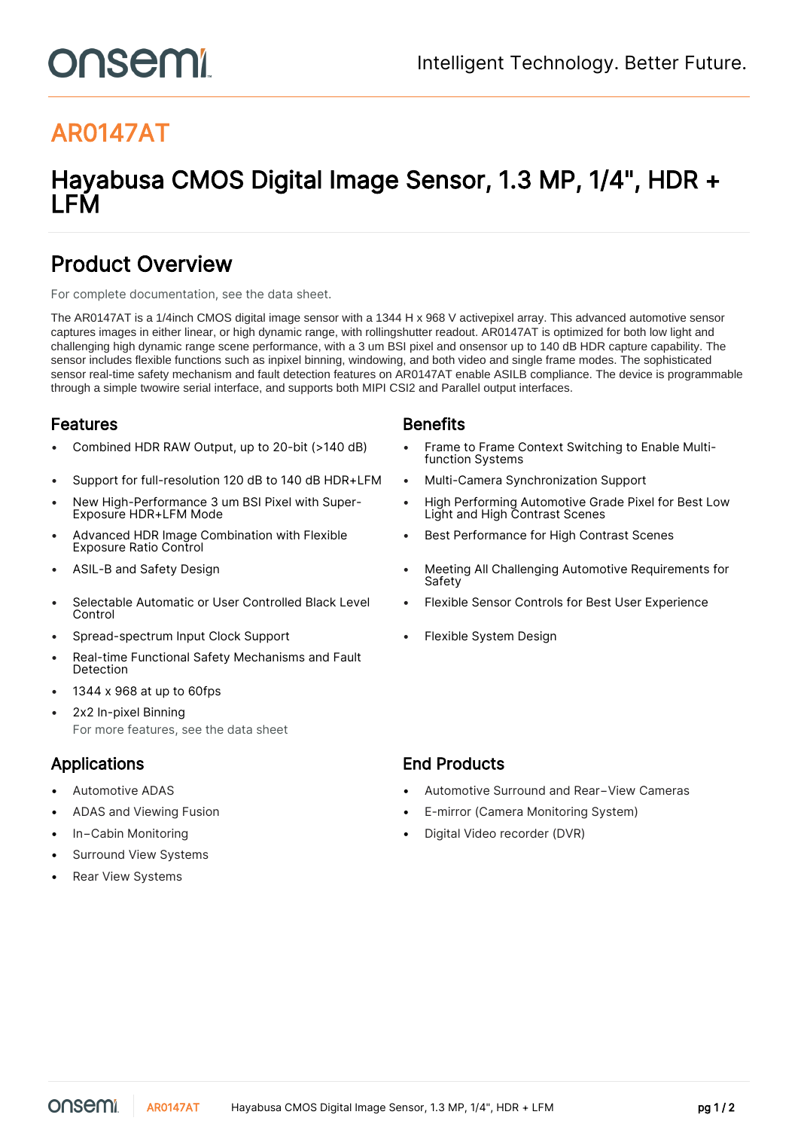# onsemi

# AR0147AT

# Hayabusa CMOS Digital Image Sensor, 1.3 MP, 1/4", HDR + LFM

## Product Overview

For complete documentation, see the [data sheet.](https://www.onsemi.com/PowerSolutions/product.do?id=AR0147AT)

The AR0147AT is a 1/4inch CMOS digital image sensor with a 1344 H x 968 V activepixel array. This advanced automotive sensor captures images in either linear, or high dynamic range, with rollingshutter readout. AR0147AT is optimized for both low light and challenging high dynamic range scene performance, with a 3 um BSI pixel and onsensor up to 140 dB HDR capture capability. The sensor includes flexible functions such as inpixel binning, windowing, and both video and single frame modes. The sophisticated sensor real-time safety mechanism and fault detection features on AR0147AT enable ASILB compliance. The device is programmable through a simple twowire serial interface, and supports both MIPI CSI2 and Parallel output interfaces.

### **Features Benefits**

- 
- Support for full-resolution 120 dB to 140 dB HDR+LFM Multi-Camera Synchronization Support
- New High-Performance 3 um BSI Pixel with Super-Exposure HDR+LFM Mode
- Advanced HDR Image Combination with Flexible Exposure Ratio Control
- 
- Selectable Automatic or User Controlled Black Level Control
- Spread-spectrum Input Clock Support Flexible System Design
- Real-time Functional Safety Mechanisms and Fault Detection
- 1344 x 968 at up to 60fps
- 2x2 In-pixel Binning For more features, see the [data sheet](https://www.onsemi.com/PowerSolutions/product.do?id=AR0147AT)

- 
- 
- 
- Surround View Systems
- **Rear View Systems**

- Combined HDR RAW Output, up to 20-bit (>140 dB) Frame to Frame Context Switching to Enable Multifunction Systems
	-
	- High Performing Automotive Grade Pixel for Best Low Light and High Contrast Scenes
	- Best Performance for High Contrast Scenes
- ASIL-B and Safety Design  **Meeting All Challenging Automotive Requirements for** Safety
	- Flexible Sensor Controls for Best User Experience
	-

## Applications **End Products**

- Automotive ADAS Automotive Surround and Rear−View Cameras
- ADAS and Viewing Fusion E-mirror (Camera Monitoring System)
- In−Cabin Monitoring Digital Video recorder (DVR)